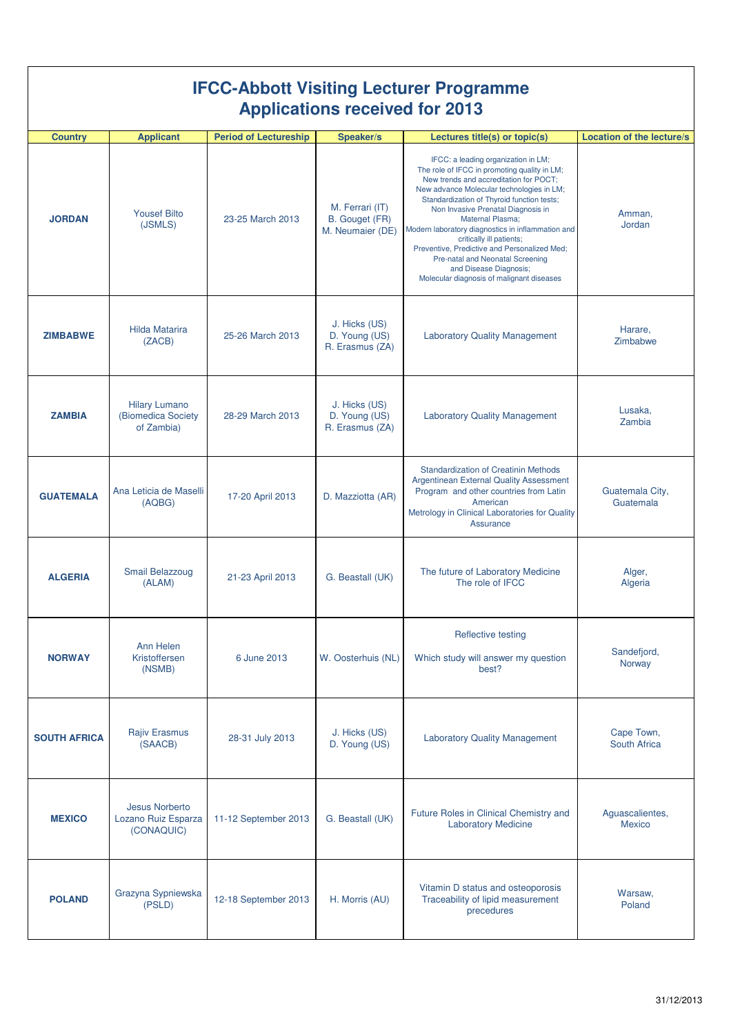| <b>IFCC-Abbott Visiting Lecturer Programme</b><br><b>Applications received for 2013</b> |                                                          |                              |                                                       |                                                                                                                                                                                                                                                                                                                                                                                                                                                                                                                                       |                                  |  |  |  |
|-----------------------------------------------------------------------------------------|----------------------------------------------------------|------------------------------|-------------------------------------------------------|---------------------------------------------------------------------------------------------------------------------------------------------------------------------------------------------------------------------------------------------------------------------------------------------------------------------------------------------------------------------------------------------------------------------------------------------------------------------------------------------------------------------------------------|----------------------------------|--|--|--|
| <b>Country</b>                                                                          | <b>Applicant</b>                                         | <b>Period of Lectureship</b> | Speaker/s                                             | Lectures title(s) or topic(s)                                                                                                                                                                                                                                                                                                                                                                                                                                                                                                         | <b>Location of the lecture/s</b> |  |  |  |
| <b>JORDAN</b>                                                                           | <b>Yousef Bilto</b><br>(JSMLS)                           | 23-25 March 2013             | M. Ferrari (IT)<br>B. Gouget (FR)<br>M. Neumaier (DE) | IFCC: a leading organization in LM;<br>The role of IFCC in promoting quality in LM;<br>New trends and accreditation for POCT;<br>New advance Molecular technologies in LM;<br>Standardization of Thyroid function tests;<br>Non Invasive Prenatal Diagnosis in<br><b>Maternal Plasma:</b><br>Modern laboratory diagnostics in inflammation and<br>critically ill patients;<br>Preventive, Predictive and Personalized Med;<br>Pre-natal and Neonatal Screening<br>and Disease Diagnosis;<br>Molecular diagnosis of malignant diseases | Amman,<br>Jordan                 |  |  |  |
| <b>ZIMBABWE</b>                                                                         | <b>Hilda Matarira</b><br>(ZACB)                          | 25-26 March 2013             | J. Hicks (US)<br>D. Young (US)<br>R. Erasmus (ZA)     | <b>Laboratory Quality Management</b>                                                                                                                                                                                                                                                                                                                                                                                                                                                                                                  | Harare,<br>Zimbabwe              |  |  |  |
| <b>ZAMBIA</b>                                                                           | <b>Hilary Lumano</b><br>(Biomedica Society<br>of Zambia) | 28-29 March 2013             | J. Hicks (US)<br>D. Young (US)<br>R. Erasmus (ZA)     | <b>Laboratory Quality Management</b>                                                                                                                                                                                                                                                                                                                                                                                                                                                                                                  | Lusaka,<br>Zambia                |  |  |  |
| <b>GUATEMALA</b>                                                                        | Ana Leticia de Maselli<br>(AQBG)                         | 17-20 April 2013             | D. Mazziotta (AR)                                     | <b>Standardization of Creatinin Methods</b><br><b>Argentinean External Quality Assessment</b><br>Program and other countries from Latin<br>American<br>Metrology in Clinical Laboratories for Quality<br>Assurance                                                                                                                                                                                                                                                                                                                    | Guatemala City,<br>Guatemala     |  |  |  |
| <b>ALGERIA</b>                                                                          | <b>Smail Belazzoug</b><br>(ALAM)                         | 21-23 April 2013             | G. Beastall (UK)                                      | The future of Laboratory Medicine<br>The role of IFCC                                                                                                                                                                                                                                                                                                                                                                                                                                                                                 | Alger,<br>Algeria                |  |  |  |
| <b>NORWAY</b>                                                                           | Ann Helen<br>Kristoffersen<br>(NSMB)                     | 6 June 2013                  | W. Oosterhuis (NL)                                    | Reflective testing<br>Which study will answer my question<br>best?                                                                                                                                                                                                                                                                                                                                                                                                                                                                    | Sandefjord,<br>Norway            |  |  |  |
| <b>SOUTH AFRICA</b>                                                                     | <b>Rajiv Erasmus</b><br>(SAACB)                          | 28-31 July 2013              | J. Hicks (US)<br>D. Young (US)                        | <b>Laboratory Quality Management</b>                                                                                                                                                                                                                                                                                                                                                                                                                                                                                                  | Cape Town,<br>South Africa       |  |  |  |
| <b>MEXICO</b>                                                                           | Jesus Norberto<br>Lozano Ruiz Esparza<br>(CONAQUIC)      | 11-12 September 2013         | G. Beastall (UK)                                      | Future Roles in Clinical Chemistry and<br><b>Laboratory Medicine</b>                                                                                                                                                                                                                                                                                                                                                                                                                                                                  | Aguascalientes,<br><b>Mexico</b> |  |  |  |
| <b>POLAND</b>                                                                           | Grazyna Sypniewska<br>(PSLD)                             | 12-18 September 2013         | H. Morris (AU)                                        | Vitamin D status and osteoporosis<br>Traceability of lipid measurement<br>precedures                                                                                                                                                                                                                                                                                                                                                                                                                                                  | Warsaw,<br>Poland                |  |  |  |